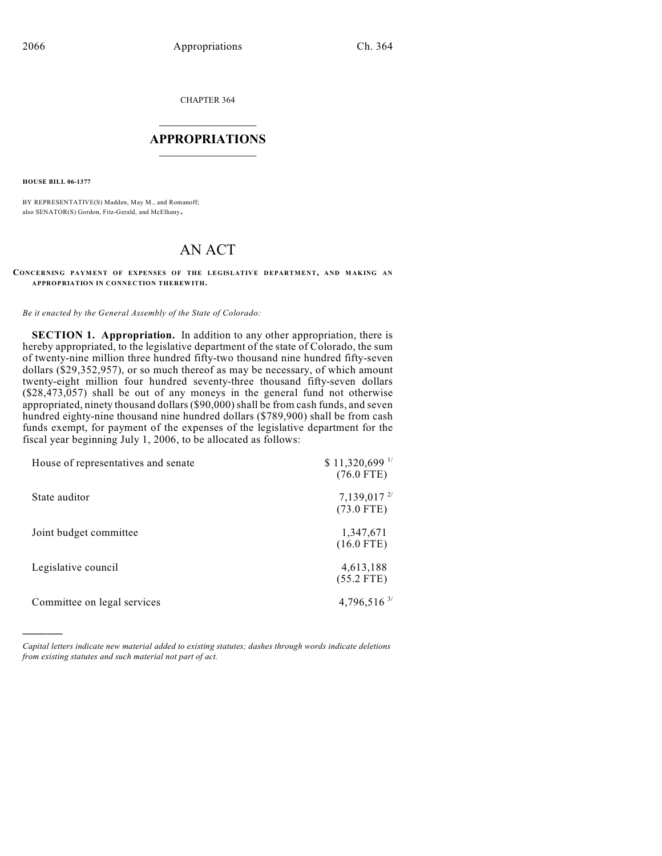CHAPTER 364

## $\mathcal{L}_\text{max}$  . The set of the set of the set of the set of the set of the set of the set of the set of the set of the set of the set of the set of the set of the set of the set of the set of the set of the set of the set **APPROPRIATIONS**  $\_$   $\_$   $\_$   $\_$   $\_$   $\_$   $\_$   $\_$

**HOUSE BILL 06-1377**

)))))

BY REPRESENTATIVE(S) Madden, May M., and Romanoff; also SENATOR(S) Gordon, Fitz-Gerald, and McElhany.

## AN ACT

## **CONCERNING PAYMENT OF EXPENSES OF THE LEGISLATIVE DEPARTMENT, AND MAKING AN APPROPRIATION IN CONNECTION THEREWITH.**

*Be it enacted by the General Assembly of the State of Colorado:*

**SECTION 1. Appropriation.** In addition to any other appropriation, there is hereby appropriated, to the legislative department of the state of Colorado, the sum of twenty-nine million three hundred fifty-two thousand nine hundred fifty-seven dollars (\$29,352,957), or so much thereof as may be necessary, of which amount twenty-eight million four hundred seventy-three thousand fifty-seven dollars (\$28,473,057) shall be out of any moneys in the general fund not otherwise appropriated, ninety thousand dollars (\$90,000) shall be from cash funds, and seven hundred eighty-nine thousand nine hundred dollars (\$789,900) shall be from cash funds exempt, for payment of the expenses of the legislative department for the fiscal year beginning July 1, 2006, to be allocated as follows:

| House of representatives and senate | $$11,320,699$ <sup>1/</sup><br>$(76.0$ FTE) |
|-------------------------------------|---------------------------------------------|
| State auditor                       | $7,139,017$ <sup>2/</sup><br>$(73.0$ FTE)   |
| Joint budget committee              | 1,347,671<br>$(16.0$ FTE)                   |
| Legislative council                 | 4,613,188<br>$(55.2$ FTE)                   |
| Committee on legal services         | 4,796,516 $3/$                              |

*Capital letters indicate new material added to existing statutes; dashes through words indicate deletions from existing statutes and such material not part of act.*